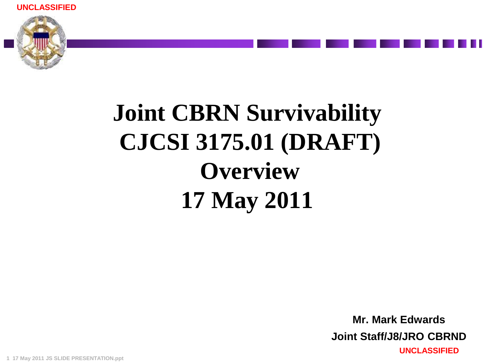**UNCLASSIFIED**



# **Joint CBRN Survivability CJCSI 3175.01 (DRAFT) Overview 17 May 2011**

**UNCLASSIFIED Mr. Mark Edwards Joint Staff/J8/JRO CBRND**

**1 17 May 2011 JS SLIDE PRESENTATION.ppt**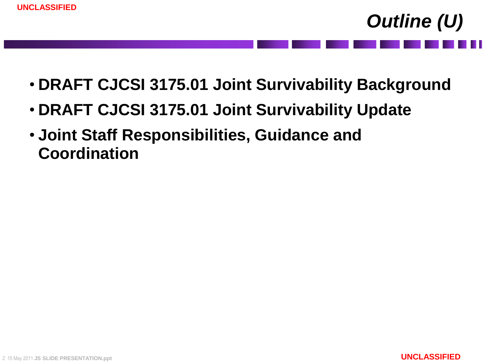- **DRAFT CJCSI 3175.01 Joint Survivability Background**
- **DRAFT CJCSI 3175.01 Joint Survivability Update**
- **Joint Staff Responsibilities, Guidance and Coordination**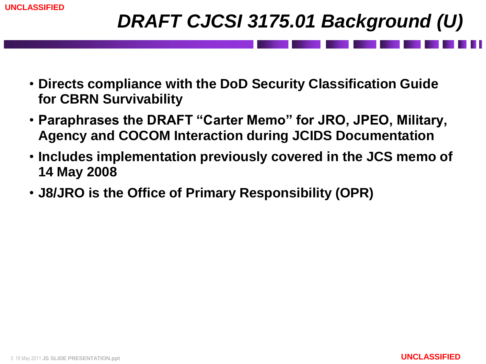#### *DRAFT CJCSI 3175.01 Background (U)*

- **Directs compliance with the DoD Security Classification Guide for CBRN Survivability**
- **Paraphrases the DRAFT "Carter Memo" for JRO, JPEO, Military, Agency and COCOM Interaction during JCIDS Documentation**
- **Includes implementation previously covered in the JCS memo of 14 May 2008**
- **J8/JRO is the Office of Primary Responsibility (OPR)**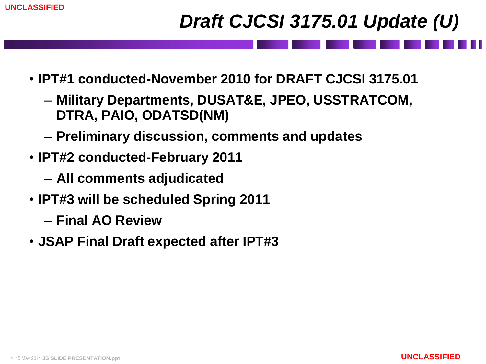## *Draft CJCSI 3175.01 Update (U)*

- **IPT#1 conducted-November 2010 for DRAFT CJCSI 3175.01**
	- **Military Departments, DUSAT&E, JPEO, USSTRATCOM, DTRA, PAIO, ODATSD(NM)**
	- **Preliminary discussion, comments and updates**
- **IPT#2 conducted-February 2011**
	- **All comments adjudicated**
- **IPT#3 will be scheduled Spring 2011**
	- **Final AO Review**
- **JSAP Final Draft expected after IPT#3**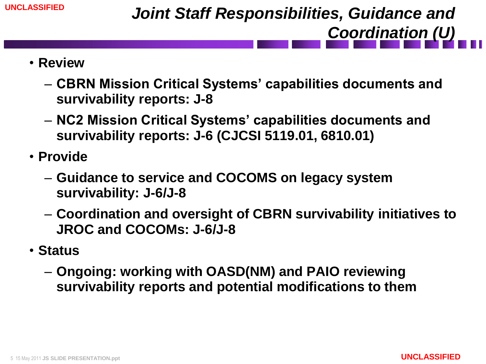- **Review**
	- **CBRN Mission Critical Systems' capabilities documents and survivability reports: J-8**
	- **NC2 Mission Critical Systems' capabilities documents and survivability reports: J-6 (CJCSI 5119.01, 6810.01)**
- **Provide**
	- **Guidance to service and COCOMS on legacy system survivability: J-6/J-8**
	- **Coordination and oversight of CBRN survivability initiatives to JROC and COCOMs: J-6/J-8**
- **Status**
	- **Ongoing: working with OASD(NM) and PAIO reviewing survivability reports and potential modifications to them**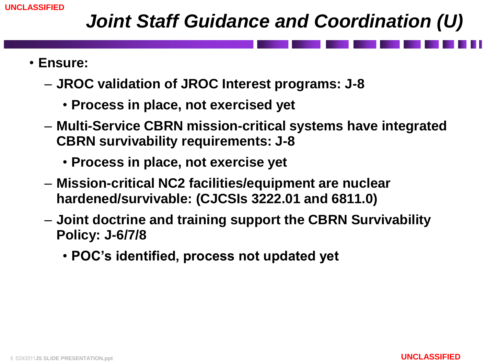### *Joint Staff Guidance and Coordination (U)*

- **Ensure:**
	- **JROC validation of JROC Interest programs: J-8**
		- **Process in place, not exercised yet**
	- **Multi-Service CBRN mission-critical systems have integrated CBRN survivability requirements: J-8**
		- **Process in place, not exercise yet**
	- **Mission-critical NC2 facilities/equipment are nuclear hardened/survivable: (CJCSIs 3222.01 and 6811.0)**
	- **Joint doctrine and training support the CBRN Survivability Policy: J-6/7/8**
		- **POC's identified, process not updated yet**